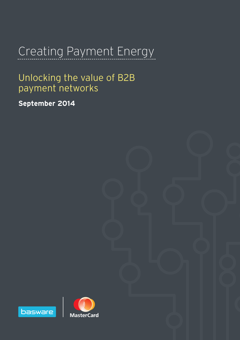# Creating Payment Energy

# Unlocking the value of B2B payment networks

**September 2014**



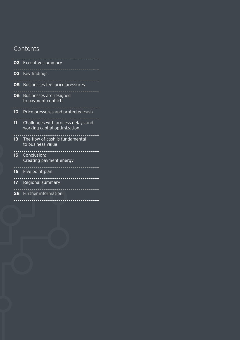## Contents

|                 | <b>02</b> Executive summary                                              |
|-----------------|--------------------------------------------------------------------------|
|                 | 03 Key findings                                                          |
|                 | <b>05</b> Businesses feel price pressures                                |
| 06              | Businesses are resigned<br>to payment conflicts                          |
| $10-1$          | Price pressures and protected cash                                       |
| 11              | Challenges with process delays and<br>working capital optimization       |
| $13-13$         | The flow of cash is fundamental<br>to business value<br>---------------- |
| 15 <sup>1</sup> | Conclusion:<br>Creating payment energy                                   |
| $16-1$          | . <u>.</u><br>Five point plan                                            |
|                 | <b>17</b> Regional summary                                               |
|                 | <u>.</u><br>28 Further information                                       |
|                 |                                                                          |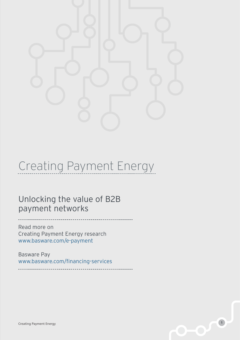

# Creating Payment Energy

Unlocking the value of B2B payment networks

Read more on Creating Payment Energy research www.basware.com/e-payment

Basware Pay www.basware.com/financing-services

**1** Creating Payment Energy **1**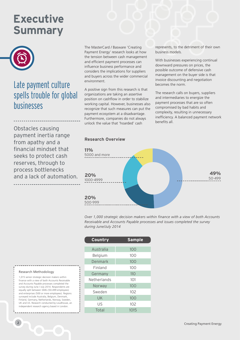# **Executive Summary**



## Late payment culture spells trouble for global businesses

Obstacles causing payment inertia range from apathy and a financial mindset that seeks to protect cash reserves, through to process bottlenecks and a lack of automation. The MasterCard / Basware 'Creating Payment Energy' research looks at how the tension between cash management and efficient payment processes can influence business performance and considers the implications for suppliers and buyers across the wider commercial environment.

A positive sign from this research is that organizations are taking an assertive position on cashflow in order to stabilize working capital. However, businesses also recognize that such measures can put the payment ecosystem at a disadvantage. Furthermore, companies do not always unlock the value that 'hoarded' cash

#### **Research Overview**



represents, to the detriment of their own

With businesses experiencing continual downward pressures on prices, the possible outcome of defensive cash management on the buyer side is that invoice discounting and negotiation

The research calls on buyers, suppliers and intermediaries to energize the payment processes that are so often compromised by bad habits and complexity, resulting in unnecessary inefficiency. A balanced payment network

business models.

becomes the norm.

benefits all.

*Over 1,000 strategic decision makers within finance with a view of both Accounts Receivable and Accounts Payable processes and issues completed the survey during June/July 2014*

| Country     | <b>Sample</b> |
|-------------|---------------|
| Australia   | 100           |
| Belgium     | 100           |
| Denmark     | 100           |
| Finland     | 100           |
| Germany     | 110           |
| Netherlands | 101           |
| Norway      | 100           |
| Sweden      | 102           |
| UK          | 100           |
| US          | 102           |
| Total       | 1015          |

#### Research Methodology

1,015 senior strategic decision makers within finance with a view of both Accounts Receivable and Accounts Payable processes completed the survey during June / July 2014. Respondents are equally split between SMEs (50-499 employees) and enterprises (500 or more employees). Regions surveyed include Australia, Belgium, Denmark, Finland, Germany, Netherlands, Norway, Sweden, UK and US. Research conducted by Loudhouse, an independent research agency based in London.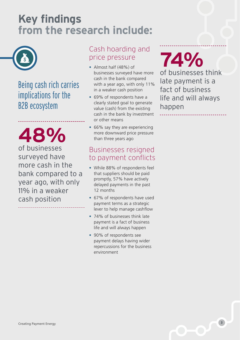# **Key findings from the research include:**



## Being cash rich carries implications for the B2B ecosystem

of businesses **48%** surveyed have more cash in the bank compared to a year ago, with only 11% in a weaker cash position

## Cash hoarding and price pressure

- Almost half (48%) of businesses surveyed have more cash in the bank compared with a year ago, with only 11% in a weaker cash position
- 69% of respondents have a clearly stated goal to generate value (cash) from the existing cash in the bank by investment or other means
- 66% say they are experiencing more downward price pressure than three years ago

## Businesses resigned to payment conflicts

- While 88% of respondents feel that suppliers should be paid promptly, 57% have actively delayed payments in the past 12 months
- 67% of respondents have used payment terms as a strategic lever to help manage cashflow
- 74% of businesses think late payment is a fact of business life and will always happen
- 90% of respondents see payment delays having wider repercussions for the business environment

**74%** of businesses think late payment is a fact of business life and will always happen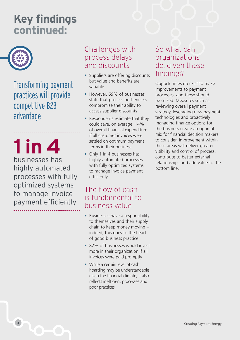# **Key findings continued:**



Transforming payment practices will provide competitive B2B advantage

**1 in 4** businesses has

highly automated processes with fully optimized systems to manage invoice payment efficiently

## Challenges with process delays and discounts

- Suppliers are offering discounts but value and benefits are variable
- However, 69% of businesses state that process bottlenecks compromise their ability to access supplier discounts
- Respondents estimate that they could save, on average, 14% of overall financial expenditure if all customer invoices were settled on optimum payment terms in their business
- Only 1 in 4 businesses has highly automated processes with fully optimized systems to manage invoice payment efficiently

## The flow of cash is fundamental to business value

- Businesses have a responsibility to themselves and their supply chain to keep money moving – indeed, this goes to the heart of good business practice
- 82% of businesses would invest more in their organization if all invoices were paid promptly
- While a certain level of cash hoarding may be understandable given the financial climate, it also reflects inefficient processes and poor practices

## So what can organizations do, given these findings?

Opportunities do exist to make improvements to payment processes, and these should be seized. Measures such as reviewing overall payment strategy, leveraging new payment technologies and proactively managing finance options for the business create an optimal mix for financial decision makers to consider. Improvement within these areas will deliver greater visibility and control of process, contribute to better external relationships and add value to the bottom line.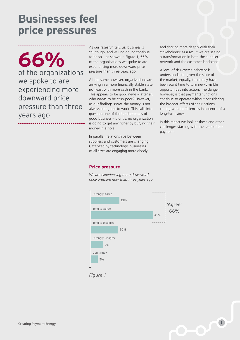**Businesses feel price pressures**

of the organizations **66%** we spoke to are experiencing more downward price pressure than three years ago

As our research tells us, business is still tough, and will no doubt continue to be so – as shown in Figure 1, 66% of the organizations we spoke to are experiencing more downward price pressure than three years ago.

All the same however, organizations are arriving in a more financially stable state, not least with more cash in the bank. This appears to be good news – after all, who wants to be cash-poor? However, as our findings show, the money is not always being put to work. This calls into question one of the fundamentals of good business – bluntly, no organization is going to get any richer by burying their money in a hole.

In parallel, relationships between suppliers and customers are changing. Catalyzed by technology, businesses of all sizes are engaging more closely

and sharing more deeply with their stakeholders: as a result we are seeing a transformation in both the supplier network and the customer landscape.

A level of risk-averse behavior is understandable, given the state of the market; equally, there may have been scant time to turn newly visible opportunities into action. The danger, however, is that payments functions continue to operate without considering the broader effects of their actions, coping with inefficiencies in absence of a long-term view.

In this report we look at these and other challenges starting with the issue of late payment.

#### **Price pressure**

*We are experiencing more downward price pressure now than three years ago*



*Figure 1*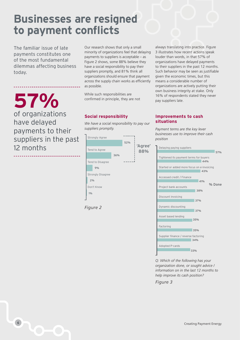# **Businesses are resigned to payment conflicts**

The familiar issue of late payments constitutes one of the most fundamental dilemmas affecting business today.

**57%** of organizations have delayed payments to their suppliers in the past 12 months

\_\_\_\_\_\_\_\_\_\_\_\_\_\_\_\_\_\_\_\_\_\_\_\_\_\_\_\_\_\_

Our research shows that only a small minority of organizations feel that delaying payments to suppliers is acceptable – as Figure 2 shows, some 88% believe they have a social responsibility to pay their suppliers promptly, and 81% think all organizations should ensure that payment across the supply chain works as efficiently as possible.

While such responsibilities are confirmed in principle, they are not

### **Social responsibility**

*We have a social responsibility to pay our suppliers promptly.*

| <b>Strongly Agree</b>    |     |     |                |
|--------------------------|-----|-----|----------------|
|                          |     | 52% |                |
| Tend to Agree            |     |     | 'Agree'<br>88% |
|                          | 36% |     |                |
| Tend to Disagree         |     |     |                |
| 9%                       |     |     |                |
| <b>Strongly Disagree</b> |     |     |                |
| 2%                       |     |     |                |
| Don't Know               |     |     |                |
| 1%                       |     |     |                |
|                          |     |     |                |

*Figure 2*

always translating into practice. Figure 3 illustrates how recent actions speak louder than words, in that 57% of organizations have delayed payments to their suppliers in the past 12 months. Such behavior may be seen as justifiable given the economic times, but this means a considerable number of organizations are actively putting their own business integrity at stake. Only 16% of respondents stated they never pay suppliers late.

### **Improvements to cash situations**

*Payment terms are the key lever businesses use to improve their cash position*

| Delaying paying suppliers                         |
|---------------------------------------------------|
| 57%                                               |
| Tightened its payment terms for buyers<br>44%     |
| Started or added more focus on e-invoicing<br>43% |
| Accessed credit / Finance                         |
| 41%<br>% Done<br>Project bank accounts            |
| 38%<br>Discount invoicing                         |
| 37%                                               |
| Dynamic discounting<br>37%                        |
| Asset based lending<br>35%                        |
| Factoring                                         |
| 35%                                               |
| Supplier finance / reverse factoring<br>34%       |
| Adopted P-cards                                   |
| 33%                                               |

*Q: Which of the following has your organization done, or sought advice / information on in the last 12 months to help improve its cash position?*

*Figure 3*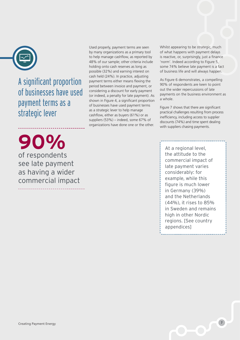

A significant proportion of businesses have used payment terms as a strategic lever

Used properly, payment terms are seen by many organizations as a primary tool to help manage cashflow, as reported by 48% of our sample; other criteria include holding onto cash reserves as long as possible (32%) and earning interest on cash held (24%). In practice, adjusting payment terms either means flexing the period between invoice and payment, or considering a discount for early payment (or indeed, a penalty for late payment). As shown in Figure 4, a significant proportion of businesses have used payment terms as a strategic lever to help manage cashflow, either as buyers (61%) or as suppliers (53%) – indeed, some 67% of organizations have done one or the other.

**90%**  of respondents see late payment as having a wider commercial impact Whilst appearing to be strategic, much of what happens with payment delays is reactive, or, surprisingly, just a finance 'norm'. Indeed according to Figure 5, some 74% believe late payment is a fact of business life and will always happen.

As Figure 6 demonstrates, a compelling 90% of respondents are keen to point out the wider repercussions of late payments on the business environment as a whole.

Figure 7 shows that there are significant practical challenges resulting from process inefficiency, including access to supplier discounts (74%) and time spent dealing with suppliers chasing payments.

At a regional level, the attitude to the commercial impact of late payment varies considerably: for example, while this figure is much lower in Germany (39%) and the Netherlands (44%), it rises to 85% in Sweden and remains high in other Nordic regions. [See country appendices]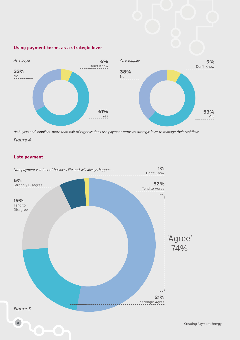### **Using payment terms as a strategic lever**



*As buyers and suppliers, more than half of organizations use payment terms as strategic lever to manage their cashflow*

*Figure 4*

### **Late payment**

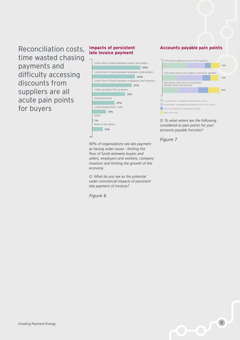Reconciliation costs, time wasted chasing payments and difficulty accessing discounts from suppliers are all acute pain points for buyers

#### **Impacts of persistent late invoice payment**



*90% of organizations see late payment as having wider issues - limiting the flow of funds between buyers and sellers, employers and workers, company investors and limiting the growth of the economy*

*Q: What do you see as the potential wider commercial impacts of persistent late payment of invoices?*

*Figure 6*

### **Accounts payable pain points**



*Q: To what extent are the following considered as pain points for your accounts payable function?*

*Figure 7*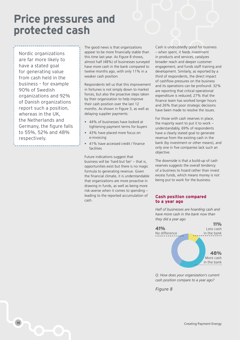# **Price pressures and protected cash**

Nordic organizations are far more likely to have a stated goal for generating value from cash held in the business – for example 90% of Swedish organizations and 92% of Danish organizations report such a position, whereas in the UK, the Netherlands and Germany, the figure falls to 55%, 52% and 48% respectively.

The good news is that organizations appear to be more financially stable than this time last year. As Figure 8 shows, almost half (48%) of businesses surveyed have more cash in the bank compared to twelve months ago, with only 11% in a weaker cash position.

Respondents tell us that this improvement in fortunes is not simply down to market forces, but also the proactive steps taken by their organization to help improve their cash position over the last 12 months. As shown in Figure 3, as well as delaying supplier payments:

- 44% of businesses have looked at tightening payment terms for buyers
- 43% have placed more focus on e-invoicing
- 41% have accessed credit / finance facilities

Future indications suggest that business will be 'hard but fair' – that is, opportunities exist but there is no magic formula to generating revenue. Given the financial climate, it is understandable that organizations are more proactive in drawing in funds, as well as being more risk-averse when it comes to spending – leading to the reported accumulation of cash.

Cash is undoubtedly good for business – when spent, it feeds investment in products and services, catalyzes broader reach and deeper customer engagement, and funds staff training and development. Similarly, as reported by a third of respondents, the direct impact of cashflow pressures on the business and its operations can be profound: 32% are reporting that critical operational expenditure is reduced; 27% that the finance team has worked longer hours and 26% that poor strategic decisions have been made to resolve the issues.

For those with cash reserves in place, the majority want to put it to work – understandably, 69% of respondents have a clearly stated goal to generate revenue from the existing cash in the bank (by investment or other means), and only one in five companies lack such an objective.

The downside is that a build-up of cash reserves suggests the overall tendency of a business to hoard rather than invest excess funds, which means money is not being put to work for the business.

#### **Cash position compared to a year ago**

*Half of businesses are hoarding cash and have more cash in the bank now than they did a year ago*



*Q: How does your organization's current cash position compare to a year ago?*

*Figure 8*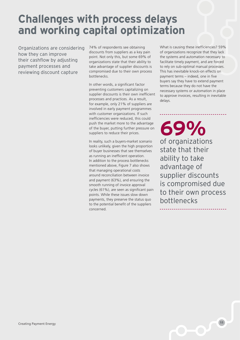# **Challenges with process delays and working capital optimization**

Organizations are considering how they can improve their cashflow by adjusting payment processes and reviewing discount capture

74% of respondents see obtaining discounts from suppliers as a key pain point. Not only this, but some 69% of organizations state that their ability to take advantage of supplier discounts is compromised due to their own process bottlenecks.

In other words, a significant factor preventing customers capitalizing on supplier discounts is their own inefficient processes and practices. As a result, for example, only 21% of suppliers are involved in early payment programmes with customer organizations. If such inefficiencies were reduced, this could push the market more to the advantage of the buyer, putting further pressure on suppliers to reduce their prices.

In reality, such a buyers-market scenario looks unlikely, given the high proportion of buyer businesses that see themselves as running an inefficient operation. In addition to the process bottlenecks mentioned above, Figure 7 also shows that managing operational costs around reconciliation between invoice and payment (63%), and ensuring the smooth running of invoice approval cycles (61%), are seen as significant pain points. While these issues slow down payments, they preserve the status quo to the potential benefit of the suppliers concerned.

What is causing these inefficiencies? 59% of organizations recognize that they lack the systems and automation necessary to facilitate timely payment, and are forced to rely on sub-optimal manual processes. This has inevitable knock-on effects on payment terms – indeed, one in five buyers say they have to extend payment terms because they do not have the necessary systems or automation in place to approve invoices, resulting in inevitable delays.

**69%** of organizations state that their ability to take advantage of supplier discounts is compromised due to their own process bottlenecks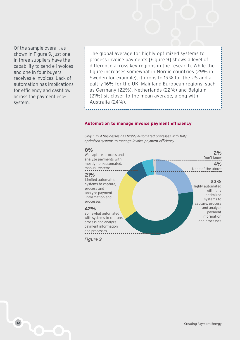Of the sample overall, as shown in Figure 9, just one in three suppliers have the capability to send e-invoices and one in four buyers receives e-invoices. Lack of automation has implications for efficiency and cashflow across the payment ecosystem.

The global average for highly optimized systems to process invoice payments [Figure 9] shows a level of difference across key regions in the research. While the figure increases somewhat in Nordic countries (29% in Sweden for example), it drops to 19% for the US and a paltry 16% for the UK. Mainland European regions, such as Germany (22%), Netherlands (22%) and Belgium (21%) sit closer to the mean average, along with Australia (24%).

#### **Automation to manage invoice payment efficiency**

*Only 1 in 4 businesses has highly automated processes with fully optimized systems to manage invoice payment efficiency* 



*Figure 9*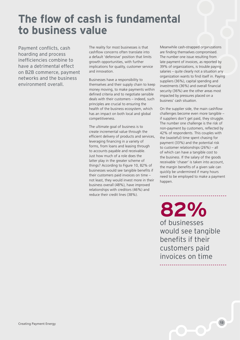# **The flow of cash is fundamental to business value**

Payment conflicts, cash hoarding and process inefficiencies combine to have a detrimental effect on B2B commerce, payment networks and the business environment overall.

The reality for most businesses is that cashflow concerns often translate into a default 'defensive' position that limits growth opportunities, with further implications for quality, customer service and innovation.

Businesses have a responsibility to themselves and their supply chain to keep money moving, to make payments within defined criteria and to negotiate sensible deals with their customers – indeed, such principles are crucial to ensuring the health of the business ecosystem, which has an impact on both local and global competitiveness.

The ultimate goal of business is to create incremental value through the efficient delivery of products and services, leveraging financing in a variety of forms, from loans and leasing through to accounts payable and receivable. Just how much of a role does the latter play in the greater scheme of things? According to Figure 10, 82% of businesses would see tangible benefits if their customers paid invoices on time – not least, they would invest more in their business overall (48%), have improved relationships with creditors (46%) and reduce their credit lines (38%).

Meanwhile cash-strapped organizations are finding themselves compromised. The number one issue resulting from late payment of invoices, as reported by 39% of organizations, is trouble paying salaries – quite clearly not a situation any organization wants to find itself in. Paying suppliers (36%), capital spending and investments (36%) and overall financial security (36%) are the other areas most impacted by pressures placed on a business' cash situation.

On the supplier side, the main cashflow challenges become even more tangible – if suppliers don't get paid, they struggle. The number one challenge is the risk of non-payment by customers, reflected by 42% of respondents. This couples with the (wasteful) time spent chasing for payment (33%) and the potential risk to customer relationships (26%) – all of which can have a tangible cost to the business. If the salary of the goods receivable 'chaser' is taken into account, the margin benefits of a given sale can quickly be undermined if many hours need to be employed to make a payment happen.

**82%** of businesses would see tangible benefits if their customers paid invoices on time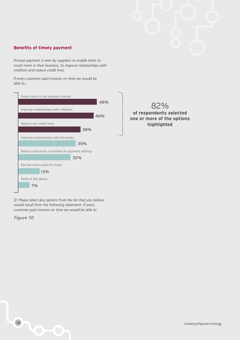### **Benefits of timely payment**

*Prompt payment is seen by suppliers to enable them to invest more in their business, to improve relationships with creditors and reduce credit lines*

*If every customer paid invoices on time we would be able to...*



82% **of respondents selected one or more of the options highlighted**

*Q: Please select any options from the list that you believe would result from the following statement: If every customer paid invoices on time we would be able to*

*Figure 10*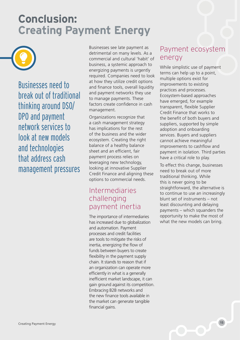# **Conclusion: Creating Payment Energy**



Businesses need to break out of traditional thinking around DSO/ DPO and payment network services to look at new models and technologies that address cash management pressures Businesses see late payment as detrimental on many levels. As a commercial and cultural 'habit' of business, a systemic approach to energizing payments is urgently required. Companies need to look at how they utilize credit options and finance tools, overall liquidity and payment networks they use to manage payments. These factors create confidence in cash management.

Organizations recognize that a cash management strategy has implications for the rest of the business and the wider ecosystem. Creating the right balance of a healthy balance sheet and an efficient, fair payment process relies on leveraging new technology, looking at innovative Supplier Credit Finance and aligning these options to commercial needs.

## Intermediaries challenging payment inertia

The importance of intermediaries has increased due to globalization and automation. Payment processes and credit facilities are tools to mitigate the risks of inertia, energizing the flow of funds between buyers to create flexibility in the payment supply chain. It stands to reason that if an organization can operate more efficiently in what is a generally inefficient market landscape, it can gain ground against its competition. Embracing B2B networks and the new finance tools available in the market can generate tangible financial gains.

## Payment ecosystem energy

While simplistic use of payment terms can help up to a point, multiple options exist for improvements to existing practices and processes. Ecosystem-based approaches have emerged, for example transparent, flexible Supplier Credit Finance that works to the benefit of both buyers and suppliers, supported by simple adoption and onboarding services. Buyers and suppliers cannot achieve meaningful improvements to cashflow and payment in isolation. Third parties have a critical role to play.

To effect this change, businesses need to break out of more traditional thinking. While this is never going to be straightforward, the alternative is to continue to use an increasingly blunt set of instruments – not least discounting and delaying payments – which squanders the opportunity to make the most of what the new models can bring.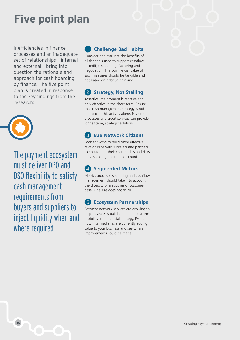# **Five point plan**

Inefficiencies in finance processes and an inadequate set of relationships – internal and external – bring into question the rationale and approach for cash hoarding by finance. The five point plan is created in response to the key findings from the research:



The payment ecosystem must deliver DPO and DSO flexibility to satisfy cash management requirements from buyers and suppliers to inject liquidity when and where required

#### **Challenge Bad Habits** 1

Consider and evaluate the benefits of all the tools used to support cashflow – credit, discounting, factoring and negotiation. The commercial value of such measures should be tangible and not based on habitual thinking.

#### $\mathbf{2}$ **Strategy, Not Stalling**

Assertive late payment is reactive and only effective in the short-term. Ensure that cash management strategy is not reduced to this activity alone. Payment processes and credit services can provider longer-term, strategic solutions.

#### **B2B Network Citizens**  $\left( 3\right)$

Look for ways to build more effective relationships with suppliers and partners to ensure that their cost models and risks are also being taken into account.

#### $\overline{A}$ **Segmented Metrics**

Metrics around discounting and cashflow management should take into account the diversity of a supplier or customer base. One size does not fit all.

#### **Ecosystem Partnerships** (5)

Payment network services are evolving to help businesses build credit and payment flexibility into financial strategy. Evaluate how intermediaries are currently adding value to your business and see where improvements could be made.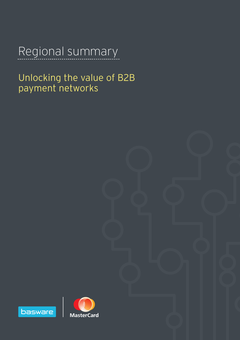# Regional summary

Unlocking the value of B2B payment networks



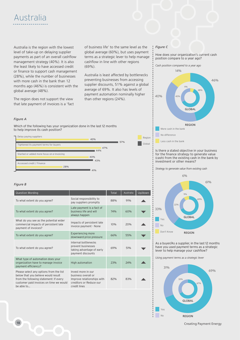

Australia is the region with the lowest level of take-up on delaying supplier payments as part of an overall cashflow management strategy (40%). It is also the least likely to have accessed credit or finance to support cash management (28%), while the number of businesses with more cash in the bank than 12 months ago (46%) is consistent with the global average (48%).

The region does not support the view that late payment of invoices is a 'fact

of business life' to the same level as the global average (60%), but uses payment terms as a strategic lever to help manage cashflow in line with other regions (69%).

Australia is least affected by bottlenecks preventing businesses from accessing supplier discounts, 51% against a global average of 69%. It also has levels of payment automation nominally higher than other regions (24%).

#### *Figure C*

Region

How does your organization's current cash position compare to a year ago?

*Cash position compared to a year ago*



Is there a stated objective in your business for the finance strategy to generate value (cash) from the existing cash in the bank by investment or other means?



*Strategy to generate value from existing cash*



As a buyer/As a supplier, in the last 12 months have you used payment terms as a strategic lever to help manage your cashflow?

*Using payment terms as a strategic lever*



*Figure A*

Which of the following has your organization done in the last 12 months to help improve its cash position?

Delay paying suppliers



#### *Figure B*

| Question Wording                                                                                                                                                                  |                                                                                                                    | Total | Australia | Up/down |
|-----------------------------------------------------------------------------------------------------------------------------------------------------------------------------------|--------------------------------------------------------------------------------------------------------------------|-------|-----------|---------|
| To what extent do you agree?                                                                                                                                                      | Social responsibility to<br>pay suppliers promptly                                                                 | 88%   | 91%       |         |
| To what extent do you agree?                                                                                                                                                      | Late payment is a fact of<br>business life and will<br>always happen                                               | 74%   | 60%       |         |
| What do you see as the potential wider<br>commercial impacts of persistent late<br>payment of invoices?                                                                           | Impacts of persistent late<br>invoice payment - None                                                               | 10%   | 20%       |         |
| To what extent do you agree?                                                                                                                                                      | <b>Experiencing more</b><br>downward price pressure                                                                | 66%   | 55%       |         |
| To what extent do you agree?                                                                                                                                                      | Internal bottlenecks<br>prevent businesses<br>taking advantage of early<br>payment discounts                       | 69%   | 51%       |         |
| What type of automation does your<br>organization have to manage invoice<br>payment efficiency?                                                                                   | High automation                                                                                                    | 23%   | 24%       |         |
| Please select any options from the list<br>below that you believe would result<br>from the following statement: If every<br>customer paid invoices on time we would<br>be able to | Invest more in our<br>business overall or<br>Improve relationships with<br>creditors or Reduce our<br>credit lines | 82%   | 83%       |         |

**18** Creating Payment Energy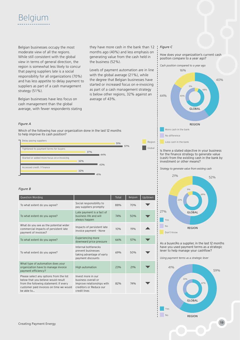

Belgian businesses occupy the most moderate view of all the regions. While still consistent with the global view in terms of general direction, the region is somewhat less likely to concur that paying suppliers late is a social responsibility for all organizations (70%) and has less appetite to delay payment to suppliers as part of a cash management strategy (51%).

Belgian businesses have less focus on cash management than the global average, with fewer respondents stating they have more cash in the bank than 12 months ago (40%) and less emphasis on generating value from the cash held in the business (52%).

Levels of payment automation are in line with the global average (21%), while the degree that Belgian businesses have started or increased focus on e-invoicing as part of a cash management strategy is below other regions, 32% against an average of 43%.

#### *Figure C*

How does your organization's current cash position compare to a year ago?



#### Is there a stated objective in your business for the finance strategy to generate value (cash) from the existing cash in the bank by investment or other means?

*Strategy to generate value from existing cash*



As a buyer/As a supplier, in the last 12 months have you used payment terms as a strategic lever to help manage your cashflow?

*Using payment terms as a strategic lever*



#### *Figure A*

Which of the following has your organization done in the last 12 months to help improve its cash position?



| <b>Question Wording</b>                                                                                                                                                           |                                                                                                                    | Total | Belgium    | Up/down |
|-----------------------------------------------------------------------------------------------------------------------------------------------------------------------------------|--------------------------------------------------------------------------------------------------------------------|-------|------------|---------|
| To what extent do you agree?                                                                                                                                                      | Social responsibility to<br>pay suppliers promptly                                                                 | 88%   | 70%        |         |
| To what extent do you agree?                                                                                                                                                      | Late payment is a fact of<br>husiness life and will<br>always happen                                               | 74%   | 50%        |         |
| What do you see as the potential wider<br>commercial impacts of persistent late<br>payment of invoices?                                                                           | Impacts of persistent late<br>invoice payment - None                                                               | 10%   | 19%        |         |
| To what extent do you agree?                                                                                                                                                      | <b>Experiencing more</b><br>downward price pressure                                                                | 66%   | 57%        |         |
| To what extent do you agree?                                                                                                                                                      | Internal bottlenecks<br>prevent businesses<br>taking advantage of early<br>payment discounts                       | 69%   | 50%        |         |
| What type of automation does your<br>organization have to manage invoice<br>payment efficiency?                                                                                   | High automation                                                                                                    | 23%   | 21%        |         |
| Please select any options from the list<br>below that you believe would result<br>from the following statement: If every<br>customer paid invoices on time we would<br>he able to | Invest more in our<br>business overall or<br>Improve relationships with<br>creditors or Reduce our<br>credit lines | 82%   | <b>74%</b> |         |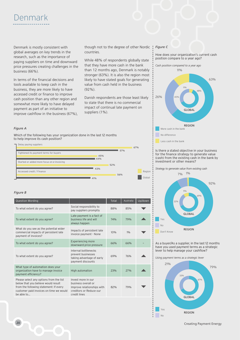# Denmark

Denmark is mostly consistent with global averages on key trends in the research, such as the importance of paying suppliers on time and downward price pressures creating challenges in the business (66%).

In terms of the financial decisions and tools available to keep cash in the business, they are more likely to have accessed credit or finance to improve cash position than any other region and somewhat more likely to have delayed payment as part of an initiative to improve cashflow in the business (67%), though not to the degree of other Nordic countries.

While 48% of respondents globally state that they have more cash in the bank than 12 months ago, Denmark is notably stronger (63%). It is also the region most likely to have stated goals for generating value from cash held in the business (92%).

Danish respondents are those least likely to state that there is no commercial impact of continual late payment on suppliers (1%).

#### *Figure C*

How does your organization's current cash position compare to a year ago?



#### Is there a stated objective in your business for the finance strategy to generate value (cash) from the existing cash in the bank by investment or other means?



As a buyer/As a supplier, in the last 12 months have you used payment terms as a strategic lever to help manage your cashflow?

*Using payment terms as a strategic lever*



### *Figure A*

Which of the following has your organization done in the last 12 months to help improve its cash position?



#### *Figure B*

| Question Wording                                                                                                                                                                  |                                                                                                                    | Total | Australia  | Up/down |
|-----------------------------------------------------------------------------------------------------------------------------------------------------------------------------------|--------------------------------------------------------------------------------------------------------------------|-------|------------|---------|
| To what extent do you agree?                                                                                                                                                      | Social responsibility to<br>pay suppliers promptly                                                                 | 88%   | 85%        |         |
| To what extent do you agree?                                                                                                                                                      | Late payment is a fact of<br>business life and will<br>always happen                                               | 74%   | <b>79%</b> |         |
| What do you see as the potential wider<br>commercial impacts of persistent late<br>payment of invoices?                                                                           | Impacts of persistent late<br>invoice payment - None                                                               | 10%   | 10/6       |         |
| To what extent do you agree?                                                                                                                                                      | <b>Experiencing more</b><br>downward price pressure                                                                | 66%   | 66%        |         |
| To what extent do you agree?                                                                                                                                                      | Internal bottlenecks<br>prevent businesses<br>taking advantage of early<br>payment discounts                       | 69%   | 76%        |         |
| What type of automation does your<br>organization have to manage invoice<br>payment efficiency?                                                                                   | High automation                                                                                                    | 23%   | 27%        |         |
| Please select any options from the list<br>below that you believe would result<br>from the following statement: If every<br>customer paid invoices on time we would<br>he able to | Invest more in our<br>business overall or<br>Improve relationships with<br>creditors or Reduce our<br>credit lines | 82%   | 79%        |         |

**20** Creating Payment Energy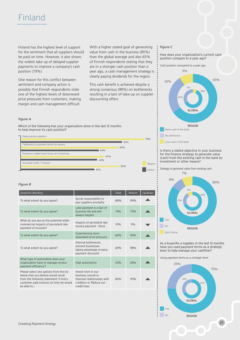Finland has the highest level of support for the sentiment that all suppliers should be paid on time. However, it also shows the widest take up of delayed supplier payments to improve a company's cash position (79%).

One reason for this conflict between sentiment and company action is possibly that Finnish respondents state one of the highest levels of downward price pressures from customers, making margin and cash management difficult.

With a higher stated goal of generating value from cash in the business (85%) than the global average and also 65% of Finnish respondents stating that they are in a stronger cash position than a year ago, a cash management strategy is clearly paying dividends for the region.

This cash benefit is achieved despite a strong consensus (98%) on bottlenecks resulting in a lack of take-up on supplier discounting offers.

#### *Figure A*

Which of the following has your organization done in the last 12 months to help improve its cash position?



#### *Figure B*

|                                                                                                                    | Total | Belgium | Up/down |
|--------------------------------------------------------------------------------------------------------------------|-------|---------|---------|
| Social responsibility to<br>pay suppliers promptly                                                                 | 88%   | 99%     |         |
| Late payment is a fact of<br>business life and will<br>always happen                                               | 74%   | 75%     |         |
| Impacts of persistent late<br>invoice payment - None                                                               | 10%   | 5%      |         |
| <b>Experiencing more</b><br>downward price pressure                                                                | 66%   | 93%     |         |
| Internal bottlenecks<br>prevent businesses<br>taking advantage of early<br>payment discounts                       | 69%   | 98%     |         |
| High automation                                                                                                    | 23%   | 24%     |         |
| Invest more in our<br>business overall or<br>Improve relationships with<br>creditors or Reduce our<br>credit lines | 82%   | 93%     |         |
|                                                                                                                    |       |         |         |

#### *Figure C*

How does your organization's current cash position compare to a year ago?





Less cash in the bank

Is there a stated objective in your business for the finance strategy to generate value (cash) from the existing cash in the bank by investment or other means?

Yes No Don't Know *Strategy to generate value from existing cash* GLOBAL REGION 85% 8% 7% 69% 9% 22%

As a buyer/As a supplier, in the last 12 months have you used payment terms as a strategic lever to help manage your cashflow?

*Using payment terms as a strategic lever*

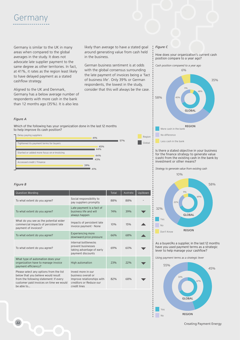

Germany is similar to the UK in many areas when compared to the global averages in the study. It does not advocate late supplier payment to the same degree as other territories. In fact, at 41%, it rates as the region least likely to have delayed payment as a stated cashflow strategy.

Aligned to the UK and Denmark, Germany has a below average number of respondents with more cash in the bank than 12 months ago (35%). It is also less

likely than average to have a stated goal around generating value from cash held in the business.

German business sentiment is at odds with the global consensus surrounding the late payment of invoices being a 'fact of business life'. Only 39% or German respondents, the lowest in the study, consider that this will always be the case.

#### *Figure C*

Region Global How does your organization's current cash position compare to a year ago?



Is there a stated objective in your business for the finance strategy to generate value (cash) from the existing cash in the bank by investment or other means?

*Strategy to generate value from existing cash* 10%



As a buyer/As a supplier, in the last 12 months have you used payment terms as a strategic lever to help manage your cashflow?

*Using payment terms as a strategic lever*



*Figure A*

Which of the following has your organization done in the last 12 months to help improve its cash position?

Delay paying suppliers



#### *Figure B*

| Question Wording                                                                                                                                                                  |                                                                                                                    | Total      | Australia | Up/down |
|-----------------------------------------------------------------------------------------------------------------------------------------------------------------------------------|--------------------------------------------------------------------------------------------------------------------|------------|-----------|---------|
| To what extent do you agree?                                                                                                                                                      | Social responsibility to<br>pay suppliers promptly                                                                 | 88%        | 88%       |         |
| To what extent do you agree?                                                                                                                                                      | Late payment is a fact of<br>husiness life and will<br>always happen                                               | <b>74%</b> | 39%       |         |
| What do you see as the potential wider<br>commercial impacts of persistent late<br>payment of invoices?                                                                           | Impacts of persistent late<br>invoice payment - None                                                               | 10%        | 15%       |         |
| To what extent do you agree?                                                                                                                                                      | <b>Experiencing more</b><br>downward price pressure                                                                | 66%        | 68%       |         |
| To what extent do you agree?                                                                                                                                                      | Internal bottlenecks<br>prevent businesses<br>taking advantage of early<br>payment discounts                       | 69%        | 60%       |         |
| What type of automation does your<br>organization have to manage invoice<br>payment efficiency?                                                                                   | High automation                                                                                                    | 23%        | 22%       |         |
| Please select any options from the list<br>below that you believe would result<br>from the following statement: If every<br>customer paid invoices on time we would<br>he able to | Invest more in our<br>business overall or<br>Improve relationships with<br>creditors or Reduce our<br>credit lines | 82%        | 68%       |         |
|                                                                                                                                                                                   |                                                                                                                    |            |           |         |

**22** Creating Payment Energy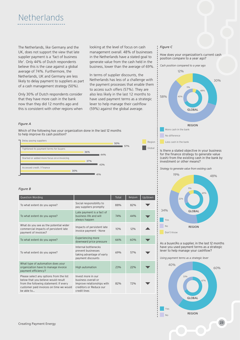

The Netherlands, like Germany and the UK, does not support the view that late supplier payment is a 'fact of business life'. Only 44% of Dutch respondents believe this is the case against a global average of 74%. Furthermore, the Netherlands, UK and Germany are less likely to delay payment to suppliers as part of a cash management strategy (50%).

Only 30% of Dutch respondents consider that they have more cash in the bank now than they did 12 months ago and this is consistent with other regions when looking at the level of focus on cash management overall. 48% of businesses in the Netherlands have a stated goal to generate value from the cash held in the business, lower than the average of 69%.

In terms of supplier discounts, the Netherlands has less of a challenge with the payment processes that enable them to access such offers (57%). They are also less likely in the last 12 months to have used payment terms as a strategic lever to help manage their cashflow (59%) against the global average.

### *Figure C*

How does your organization's current cash position compare to a year ago?





#### Is there a stated objective in your business for the finance strategy to generate value (cash) from the existing cash in the bank by investment or other means?

*Strategy to generate value from existing cash*



As a buyer/As a supplier, in the last 12 months have you used payment terms as a strategic lever to help manage your cashflow?

*Using payment terms as a strategic lever*



#### *Figure A*

Which of the following has your organization done in the last 12 months to help improve its cash position?



| Question Wording                                                                                                                                                                  |                                                                                                                    | Total | Belgium | Up/down |
|-----------------------------------------------------------------------------------------------------------------------------------------------------------------------------------|--------------------------------------------------------------------------------------------------------------------|-------|---------|---------|
| To what extent do you agree?                                                                                                                                                      | Social responsibility to<br>pay suppliers promptly                                                                 | 88%   | 82%     |         |
| To what extent do you agree?                                                                                                                                                      | Late payment is a fact of<br>business life and will<br>always happen                                               | 74%   | 44%     |         |
| What do you see as the potential wider<br>commercial impacts of persistent late<br>payment of invoices?                                                                           | Impacts of persistent late<br>invoice payment - None                                                               | 10%   | 12%     |         |
| To what extent do you agree?                                                                                                                                                      | <b>Experiencing more</b><br>downward price pressure                                                                | 66%   | 60%     |         |
| To what extent do you agree?                                                                                                                                                      | Internal bottlenecks<br>prevent businesses<br>taking advantage of early<br>payment discounts                       | 69%   | 57%     |         |
| What type of automation does your<br>organization have to manage invoice<br>payment efficiency?                                                                                   | High automation                                                                                                    | 23%   | 22%     |         |
| Please select any options from the list<br>below that you believe would result<br>from the following statement: If every<br>customer paid invoices on time we would<br>be able to | Invest more in our<br>business overall or<br>Improve relationships with<br>creditors or Reduce our<br>credit lines | 82%   | 72%     |         |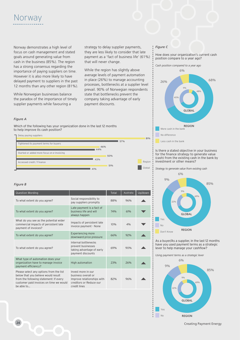

Norway demonstrates a high level of focus on cash management and stated goals around generating value from cash in the business (85%). The region has a strong consensus regarding the importance of paying suppliers on time. However it is also more likely to have delayed payment to suppliers in the past 12 months than any other region (81%).

While Norwegian businesses balance the paradox of the importance of timely supplier payments while favouring a

strategy to delay supplier payments, they are less likely to consider that late payment as a 'fact of business life' (61%) that will never change.

While the region has slightly above average levels of payment automation in place (26%) to manage accounting processes, bottlenecks at a supplier level prevail. 90% of Norwegian respondents state that bottlenecks prevent the company taking advantage of early payment discounts.

#### *Figure C*

How does your organization's current cash position compare to a year ago?





Less cash in the bank

81%

Is there a stated objective in your business for the finance strategy to generate value (cash) from the existing cash in the bank by investment or other means?



As a buyer/As a supplier, in the last 12 months have you used payment terms as a strategic lever to help manage your cashflow?

*Using payment terms as a strategic lever*



### **24** Creating Payment Energy

#### *Figure A*

Which of the following has your organization done in the last 12 months to help improve its cash position?





| <b>Question Wording</b>                                                                                                                                                           |                                                                                                                    | Total | Australia | Up/down |
|-----------------------------------------------------------------------------------------------------------------------------------------------------------------------------------|--------------------------------------------------------------------------------------------------------------------|-------|-----------|---------|
| To what extent do you agree?                                                                                                                                                      | Social responsibility to<br>pay suppliers promptly                                                                 | 88%   | 96%       |         |
| To what extent do you agree?                                                                                                                                                      | Late payment is a fact of<br>husiness life and will<br>always happen                                               | 74%   | 61%       |         |
| What do you see as the potential wider<br>commercial impacts of persistent late<br>payment of invoices?                                                                           | Impacts of persistent late<br>invoice payment - None                                                               | 10%   | 4%        |         |
| To what extent do you agree?                                                                                                                                                      | <b>Experiencing more</b><br>downward price pressure                                                                | 66%   | 92%       |         |
| To what extent do you agree?                                                                                                                                                      | Internal bottlenecks<br>prevent businesses<br>taking advantage of early<br>payment discounts                       | 69%   | 90%       |         |
| What type of automation does your<br>organization have to manage invoice<br>payment efficiency?                                                                                   | <b>High automation</b>                                                                                             | 23%   | 26%       |         |
| Please select any options from the list<br>below that you believe would result<br>from the following statement: If every<br>customer paid invoices on time we would<br>be able to | Invest more in our<br>business overall or<br>Improve relationships with<br>creditors or Reduce our<br>credit lines | 82%   | 96%       |         |

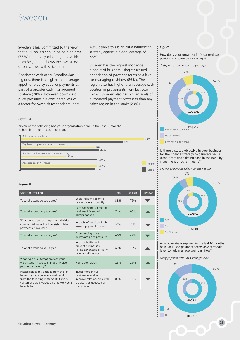Sweden is less committed to the view that all suppliers should be paid on time (75%) than many other regions. Aside from Belgium, it shows the lowest level of consensus to this statement.

Consistent with other Scandinavian regions, there is a higher than average appetite to delay supplier payments as part of a broader cash management strategy (78%). However, downward price pressures are considered less of a factor for Swedish respondents, only

49% believe this is an issue influencing strategy against a global average of 66%.

Sweden has the highest incidence globally of business using structured negotiation of payment terms as a lever for managing cashflow (86%). The region also has higher than average cash position improvements from last year (62%). Sweden also has higher levels of automated payment processes than any other region in the study (29%).

#### *Figure C*

How does your organization's current cash position compare to a year ago?





No difference

Less cash in the bank

Is there a stated objective in your business for the finance strategy to generate value (cash) from the existing cash in the bank by investment or other means?

Yes No *Strategy to generate value from existing cash* 90% 5% 5% 69% 9% 22% **GLOBAL** 

As a buyer/As a supplier, in the last 12 months have you used payment terms as a strategic lever to help manage your cashflow?

REGION

*Using payment terms as a strategic lever*

Don't Know



#### *Figure A*

Which of the following has your organization done in the last 12 months to help improve its cash position?



| Question Wording                                                                                                                                                                  |                                                                                                                    | Total | Belgium | Up/down |
|-----------------------------------------------------------------------------------------------------------------------------------------------------------------------------------|--------------------------------------------------------------------------------------------------------------------|-------|---------|---------|
| To what extent do you agree?                                                                                                                                                      | Social responsibility to<br>pay suppliers promptly                                                                 | 88%   | 75%     |         |
| To what extent do you agree?                                                                                                                                                      | Late payment is a fact of<br>husiness life and will<br>always happen                                               | 74%   | 85%     |         |
| What do you see as the potential wider<br>commercial impacts of persistent late<br>payment of invoices?                                                                           | Impacts of persistent late<br>invoice payment - None                                                               | 10%   | 3%      |         |
| To what extent do you agree?                                                                                                                                                      | <b>Experiencing more</b><br>downward price pressure                                                                | 66%   | 49%     |         |
| To what extent do you agree?                                                                                                                                                      | Internal bottlenecks<br>prevent businesses<br>taking advantage of early<br>payment discounts                       | 69%   | 78%     |         |
| What type of automation does your<br>organization have to manage invoice<br>payment efficiency?                                                                                   | High automation                                                                                                    | 23%   | 29%     |         |
| Please select any options from the list<br>below that you believe would result<br>from the following statement: If every<br>customer paid invoices on time we would<br>be able to | Invest more in our<br>business overall or<br>Improve relationships with<br>creditors or Reduce our<br>credit lines | 82%   | 81%     |         |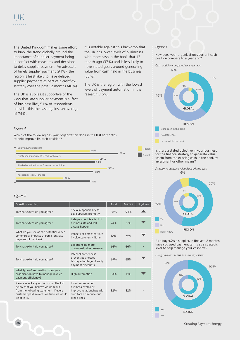The United Kingdom makes some effort to buck the trend globally around the importance of supplier payment being in conflict with measures and decisions to delay supplier payment. An advocate of timely supplier payment (94%), the region is least likely to have delayed supplier payments as part of a cashflow strategy over the past 12 months (40%).

The UK is also least supportive of the view that late supplier payment is a 'fact of business life', 51% of respondents consider this the case against an average of 74%.

It is notable against this backdrop that the UK has lower levels of businesses with more cash in the bank that 12 month ago (37%) and is less likely to have stated goals around generating value from cash held in the business (55%).

The UK is the region with the lowest levels of payment automation in the research (16%).

#### *Figure C*

How does your organization's current cash position compare to a year ago?

More cash in the bank No difference Less cash in the bank *Cash position compared to a year ago* 37% 46% 17% 48% 11% 40% GLOBAL REGION

#### Is there a stated objective in your business for the finance strategy to generate value (cash) from the existing cash in the bank by investment or other means?

Yes No *Strategy to generate value from existing cash* 55% 39% 6% 69% 9% 22% **GLOBAL** 

Don't Know REGION

As a buyer/As a supplier, in the last 12 months have you used payment terms as a strategic lever to help manage your cashflow?

*Using payment terms as a strategic lever*



### *Figure A*

Which of the following has your organization done in the last 12 months to help improve its cash position?



#### *Figure B*

| Question Wording                                                                                                                                                                  |                                                                                                                    | Total | Australia | Up/down |
|-----------------------------------------------------------------------------------------------------------------------------------------------------------------------------------|--------------------------------------------------------------------------------------------------------------------|-------|-----------|---------|
| To what extent do you agree?                                                                                                                                                      | Social responsibility to<br>pay suppliers promptly                                                                 | 88%   | 94%       |         |
| To what extent do you agree?                                                                                                                                                      | Late payment is a fact of<br>husiness life and will<br>always happen                                               | 74%   | 51%       |         |
| What do you see as the potential wider<br>commercial impacts of persistent late<br>payment of invoices?                                                                           | Impacts of persistent late<br>invoice payment - None                                                               | 10%   | 9%        |         |
| To what extent do you agree?                                                                                                                                                      | <b>Experiencing more</b><br>downward price pressure                                                                | 66%   | 66%       |         |
| To what extent do you agree?                                                                                                                                                      | Internal bottlenecks<br>prevent businesses<br>taking advantage of early<br>payment discounts                       | 69%   | 65%       |         |
| What type of automation does your<br>organization have to manage invoice<br>payment efficiency?                                                                                   | <b>High automation</b>                                                                                             | 23%   | 16%       |         |
| Please select any options from the list<br>below that you believe would result<br>from the following statement: If every<br>customer paid invoices on time we would<br>be able to | Invest more in our<br>business overall or<br>Improve relationships with<br>creditors or Reduce our<br>credit lines | 82%   | 82%       |         |

**26** Creating Payment Energy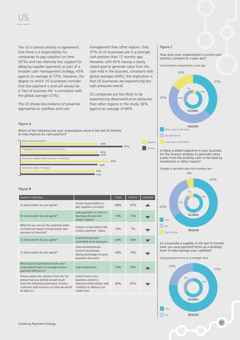The US is almost entirely in agreement that there is a responsibility for companies to pay suppliers on time (97%) and has relatively low support for delaying supplier payments as part of a broader cash management strategy, 43% against an average of 57%. However, the degree to which US businesses consider that late payment is and will always be a 'fact of business life' is consistent with the global average (72%).

The US shows less evidence of proactive approaches to cashflow and cash

management than other regions. Only 37% of US businesses are in a stronger cash position than 12 months ago. However, with 65% having a clearly stated goal to generate value from the cash held in the business, consistent with global averages (69%), the implication is that US businesses are experiencing less cash pressures overall.

US companies are less likely to be experiencing downward price pressures than other regions in the study, 56% against an average of 66%.

#### *Figure C*

How does your organization's current cash position compare to a year ago?

*Cash position compared to a year ago*



Is there a stated objective in your business for the finance strategy to generate value (cash) from the existing cash in the bank by investment or other means?



As a buyer/As a supplier, in the last 12 months have you used payment terms as a strategic lever to help manage your cashflow?

*Using payment terms as a strategic lever*



#### *Figure A*

Which of the following has your organization done in the last 12 months to help improve its cash position?



| Question Wording                                                                                                                                                                  |                                                                                                                    | Total | Belgium | Up/down |
|-----------------------------------------------------------------------------------------------------------------------------------------------------------------------------------|--------------------------------------------------------------------------------------------------------------------|-------|---------|---------|
| To what extent do you agree?                                                                                                                                                      | Social responsibility to<br>pay suppliers promptly                                                                 | 88%   | 97%     |         |
| To what extent do you agree?                                                                                                                                                      | Late payment is a fact of<br>business life and will<br>always happen                                               | 74%   | 72%     |         |
| What do you see as the potential wider<br>commercial impacts of persistent late<br>payment of invoices?                                                                           | Impacts of persistent late<br>invoice payment - None                                                               | 10%   | 7%      |         |
| To what extent do you agree?                                                                                                                                                      | <b>Experiencing more</b><br>downward price pressure                                                                | 66%   | 56%     |         |
| To what extent do you agree?                                                                                                                                                      | Internal bottlenecks<br>prevent businesses<br>taking advantage of early<br>payment discounts                       | 69%   | 61%     |         |
| What type of automation does your<br>organization have to manage invoice<br>payment efficiency?                                                                                   | High automation                                                                                                    | 23%   | 19%     |         |
| Please select any options from the list<br>below that you believe would result<br>from the following statement: If every<br>customer paid invoices on time we would<br>he able to | Invest more in our<br>business overall or<br>Improve relationships with<br>creditors or Reduce our<br>credit lines | 82%   | 87%     |         |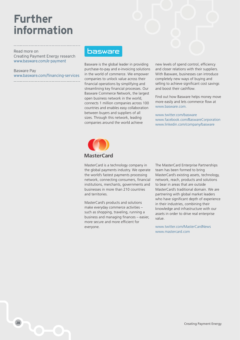# **Further information**

Read more on Creating Payment Energy research www.basware.com/e-payment

Basware Pay www.basware.com/financing-services

### **basware**

Basware is the global leader in providing purchase-to-pay and e-invoicing solutions in the world of commerce. We empower companies to unlock value across their financial operations by simplifying and streamlining key financial processes. Our Basware Commerce Network, the largest open business network in the world, connects 1 million companies across 100 countries and enables easy collaboration between buyers and suppliers of all sizes. Through this network, leading companies around the world achieve

new levels of spend control, efficiency and closer relations with their suppliers. With Basware, businesses can introduce completely new ways of buying and selling to achieve significant cost savings and boost their cashflow.

Find out how Basware helps money move more easily and lets commerce flow at www.basware.com.

www.twitter.com/basware www.facebook.com/BaswareCorporation www.linkedin.com/company/basware



MasterCard is a technology company in the global payments industry. We operate the world's fastest payments processing network, connecting consumers, financial institutions, merchants, governments and businesses in more than 210 countries and territories.

MasterCard's products and solutions make everyday commerce activities – such as shopping, traveling, running a business and managing finances – easier, more secure and more efficient for everyone.

The MasterCard Enterprise Partnerships team has been formed to bring MasterCard's existing assets, technology, network, reach, products and solutions to bear in areas that are outside MasterCard's traditional domain. We are partnering with global market leaders who have significant depth of experience in their industries, combining their knowledge and infrastructure with our assets in order to drive real enterprise value.

www.twitter.com/MasterCardNews www.mastercard.com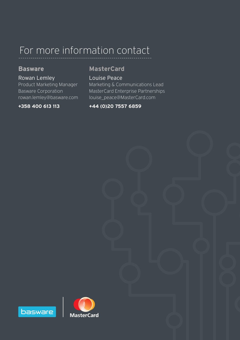# For more information contact

### **Basware**

### Rowan Lemley Product Marketing Manager Basware Corporation rowan.lemley@basware.com

### **+358 400 613 113**

## **MasterCard**

Louise Peace Marketing & Communications Lead MasterCard Enterprise Partnerships louise\_peace@MasterCard.com

### **+44 (0)20 7557 6859**